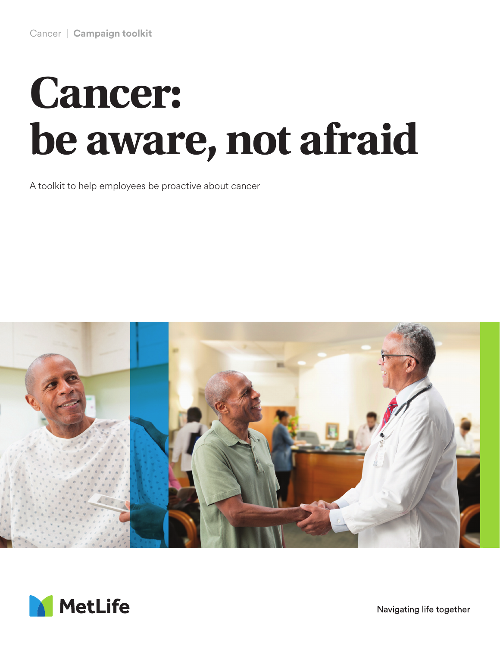# **Cancer: be aware, not afraid**

A toolkit to help employees be proactive about cancer





Navigating life together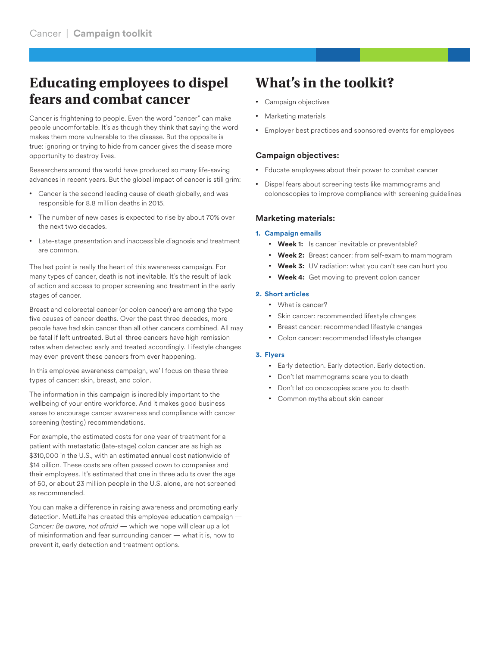# **Educating employees to dispel fears and combat cancer**

Cancer is frightening to people. Even the word "cancer" can make people uncomfortable. It's as though they think that saying the word makes them more vulnerable to the disease. But the opposite is true: ignoring or trying to hide from cancer gives the disease more opportunity to destroy lives.

Researchers around the world have produced so many life-saving advances in recent years. But the global impact of cancer is still grim:

- Cancer is the second leading cause of death globally, and was responsible for 8.8 million deaths in 2015.
- The number of new cases is expected to rise by about 70% over the next two decades.
- Late-stage presentation and inaccessible diagnosis and treatment are common.

The last point is really the heart of this awareness campaign. For many types of cancer, death is not inevitable. It's the result of lack of action and access to proper screening and treatment in the early stages of cancer.

Breast and colorectal cancer (or colon cancer) are among the type five causes of cancer deaths. Over the past three decades, more people have had skin cancer than all other cancers combined. All may be fatal if left untreated. But all three cancers have high remission rates when detected early and treated accordingly. Lifestyle changes may even prevent these cancers from ever happening.

In this employee awareness campaign, we'll focus on these three types of cancer: skin, breast, and colon.

The information in this campaign is incredibly important to the wellbeing of your entire workforce. And it makes good business sense to encourage cancer awareness and compliance with cancer screening (testing) recommendations.

For example, the estimated costs for one year of treatment for a patient with metastatic (late-stage) colon cancer are as high as \$310,000 in the U.S., with an estimated annual cost nationwide of \$14 billion. These costs are often passed down to companies and their employees. It's estimated that one in three adults over the age of 50, or about 23 million people in the U.S. alone, are not screened as recommended.

You can make a difference in raising awareness and promoting early detection. MetLife has created this employee education campaign — *Cancer: Be aware, not afraid* — which we hope will clear up a lot of misinformation and fear surrounding cancer — what it is, how to prevent it, early detection and treatment options.

# **What's in the toolkit?**

- Campaign objectives
- Marketing materials
- Employer best practices and sponsored events for employees

## **Campaign objectives:**

- Educate employees about their power to combat cancer
- Dispel fears about screening tests like mammograms and colonoscopies to improve compliance with screening guidelines

### **Marketing materials:**

#### **1. Campaign emails**

- **Week 1:** Is cancer inevitable or preventable?
- Week 2: Breast cancer: from self-exam to mammogram
- **Week 3:** UV radiation: what you can't see can hurt you
- **Week 4:** Get moving to prevent colon cancer

#### **2. Short articles**

- What is cancer?
- Skin cancer: recommended lifestyle changes
- Breast cancer: recommended lifestyle changes
- Colon cancer: recommended lifestyle changes

#### **3. Flyers**

- Early detection. Early detection. Early detection.
- Don't let mammograms scare you to death
- Don't let colonoscopies scare you to death
- Common myths about skin cancer